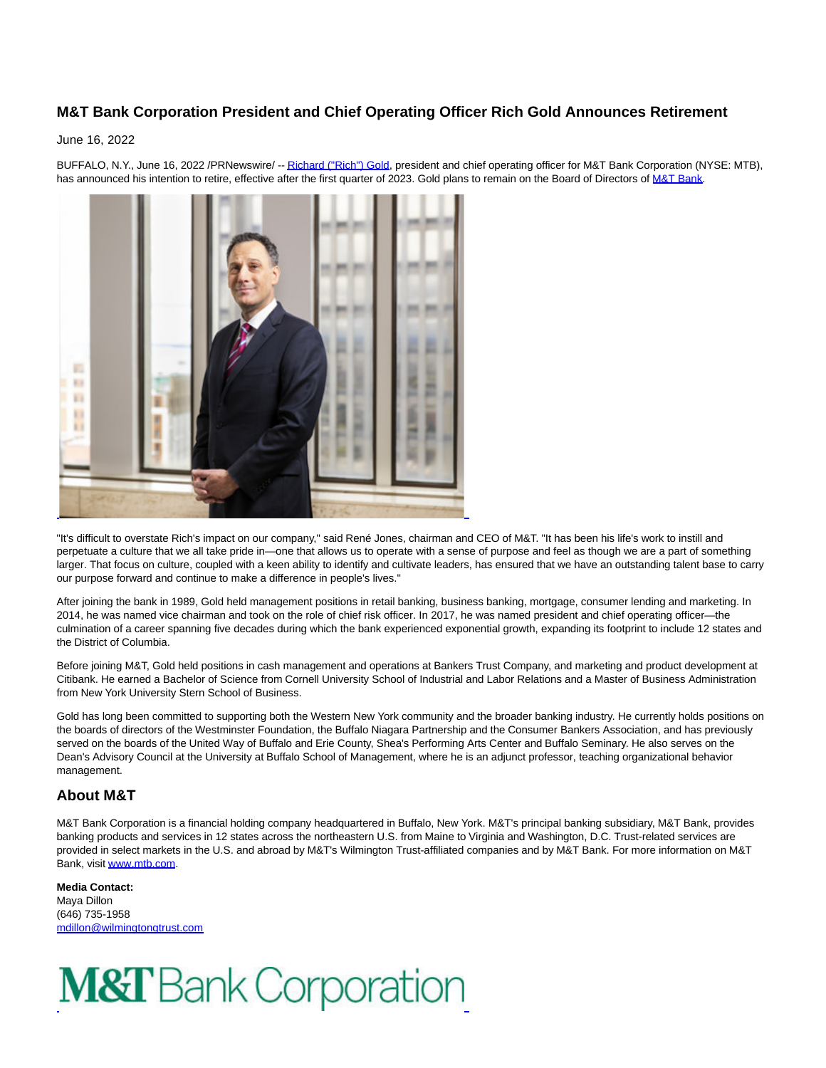## **M&T Bank Corporation President and Chief Operating Officer Rich Gold Announces Retirement**

## June 16, 2022

m  $\overline{a}$ Đ L

BUFFALO, N.Y., June 16, 2022 /PRNewswire/ -[- Richard \("Rich"\) Gold,](https://c212.net/c/link/?t=0&l=en&o=3569231-1&h=2157513981&u=https%3A%2F%2Fnewsroom.mtb.com%2Frichard-s-gold&a=Richard+(%22Rich%22)+Gold) president and chief operating officer for M&T Bank Corporation (NYSE: MTB), has announced his intention to retire, effective after the first quarter of 2023. Gold plans to remain on the Board of Directors of [M&T Bank.](https://c212.net/c/link/?t=0&l=en&o=3569231-1&h=972278253&u=http%3A%2F%2Fwww.mtb.com%2F&a=M%26T+Bank)

"It's difficult to overstate Rich's impact on our company," said René Jones, chairman and CEO of M&T. "It has been his life's work to instill and perpetuate a culture that we all take pride in—one that allows us to operate with a sense of purpose and feel as though we are a part of something larger. That focus on culture, coupled with a keen ability to identify and cultivate leaders, has ensured that we have an outstanding talent base to carry our purpose forward and continue to make a difference in people's lives."

After joining the bank in 1989, Gold held management positions in retail banking, business banking, mortgage, consumer lending and marketing. In 2014, he was named vice chairman and took on the role of chief risk officer. In 2017, he was named president and chief operating officer—the culmination of a career spanning five decades during which the bank experienced exponential growth, expanding its footprint to include 12 states and the District of Columbia.

Before joining M&T, Gold held positions in cash management and operations at Bankers Trust Company, and marketing and product development at Citibank. He earned a Bachelor of Science from Cornell University School of Industrial and Labor Relations and a Master of Business Administration from New York University Stern School of Business.

Gold has long been committed to supporting both the Western New York community and the broader banking industry. He currently holds positions on the boards of directors of the Westminster Foundation, the Buffalo Niagara Partnership and the Consumer Bankers Association, and has previously served on the boards of the United Way of Buffalo and Erie County, Shea's Performing Arts Center and Buffalo Seminary. He also serves on the Dean's Advisory Council at the University at Buffalo School of Management, where he is an adjunct professor, teaching organizational behavior management.

## **About M&T**

M&T Bank Corporation is a financial holding company headquartered in Buffalo, New York. M&T's principal banking subsidiary, M&T Bank, provides banking products and services in 12 states across the northeastern U.S. from Maine to Virginia and Washington, D.C. Trust-related services are provided in select markets in the U.S. and abroad by M&T's Wilmington Trust-affiliated companies and by M&T Bank. For more information on M&T Bank, visi[t www.mtb.com.](https://c212.net/c/link/?t=0&l=en&o=3569231-1&h=2221444870&u=http%3A%2F%2Fwww.mtb.com%2F&a=www.mtb.com) 

**Media Contact:** Maya Dillon (646) 735-1958 [mdillon@wilmingtongtrust.com](mailto:mdillon@wilmingtongtrust.com)